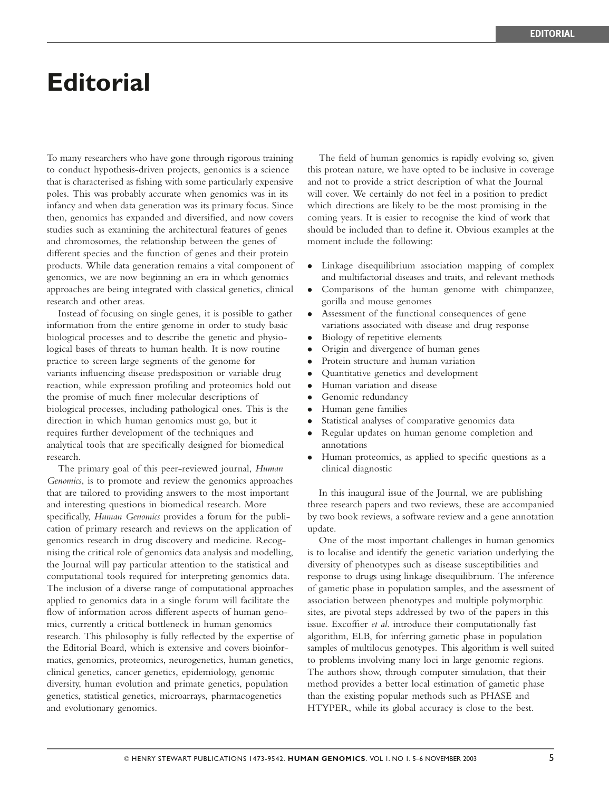## **Editorial**

To many researchers who have gone through rigorous training to conduct hypothesis-driven projects, genomics is a science that is characterised as fishing with some particularly expensive poles. This was probably accurate when genomics was in its infancy and when data generation was its primary focus. Since then, genomics has expanded and diversified, and now covers studies such as examining the architectural features of genes and chromosomes, the relationship between the genes of different species and the function of genes and their protein products. While data generation remains a vital component of genomics, we are now beginning an era in which genomics approaches are being integrated with classical genetics, clinical research and other areas.

Instead of focusing on single genes, it is possible to gather information from the entire genome in order to study basic biological processes and to describe the genetic and physiological bases of threats to human health. It is now routine practice to screen large segments of the genome for variants influencing disease predisposition or variable drug reaction, while expression profiling and proteomics hold out the promise of much finer molecular descriptions of biological processes, including pathological ones. This is the direction in which human genomics must go, but it requires further development of the techniques and analytical tools that are specifically designed for biomedical research.

The primary goal of this peer-reviewed journal, Human Genomics, is to promote and review the genomics approaches that are tailored to providing answers to the most important and interesting questions in biomedical research. More specifically, Human Genomics provides a forum for the publication of primary research and reviews on the application of genomics research in drug discovery and medicine. Recognising the critical role of genomics data analysis and modelling, the Journal will pay particular attention to the statistical and computational tools required for interpreting genomics data. The inclusion of a diverse range of computational approaches applied to genomics data in a single forum will facilitate the flow of information across different aspects of human genomics, currently a critical bottleneck in human genomics research. This philosophy is fully reflected by the expertise of the Editorial Board, which is extensive and covers bioinformatics, genomics, proteomics, neurogenetics, human genetics, clinical genetics, cancer genetics, epidemiology, genomic diversity, human evolution and primate genetics, population genetics, statistical genetics, microarrays, pharmacogenetics and evolutionary genomics.

The field of human genomics is rapidly evolving so, given this protean nature, we have opted to be inclusive in coverage and not to provide a strict description of what the Journal will cover. We certainly do not feel in a position to predict which directions are likely to be the most promising in the coming years. It is easier to recognise the kind of work that should be included than to define it. Obvious examples at the moment include the following:

- . Linkage disequilibrium association mapping of complex and multifactorial diseases and traits, and relevant methods
- . Comparisons of the human genome with chimpanzee, gorilla and mouse genomes
- . Assessment of the functional consequences of gene variations associated with disease and drug response
- . Biology of repetitive elements
- . Origin and divergence of human genes
- . Protein structure and human variation
- . Quantitative genetics and development
- . Human variation and disease
- . Genomic redundancy
- . Human gene families
- . Statistical analyses of comparative genomics data
- . Regular updates on human genome completion and annotations
- . Human proteomics, as applied to specific questions as a clinical diagnostic

In this inaugural issue of the Journal, we are publishing three research papers and two reviews, these are accompanied by two book reviews, a software review and a gene annotation update.

One of the most important challenges in human genomics is to localise and identify the genetic variation underlying the diversity of phenotypes such as disease susceptibilities and response to drugs using linkage disequilibrium. The inference of gametic phase in population samples, and the assessment of association between phenotypes and multiple polymorphic sites, are pivotal steps addressed by two of the papers in this issue. Excoffier et al. introduce their computationally fast algorithm, ELB, for inferring gametic phase in population samples of multilocus genotypes. This algorithm is well suited to problems involving many loci in large genomic regions. The authors show, through computer simulation, that their method provides a better local estimation of gametic phase than the existing popular methods such as PHASE and HTYPER, while its global accuracy is close to the best.